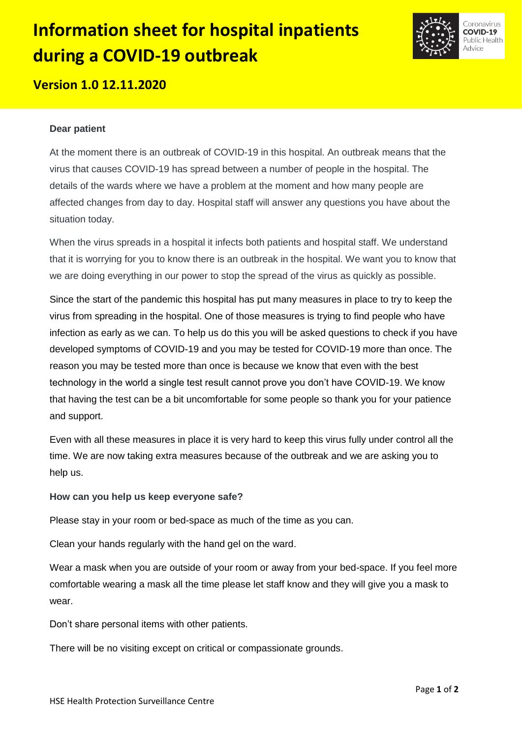# **Information sheet for hospital inpatients during a COVID-19 outbreak**



## **Version 1.0 12.11.2020**

#### **Dear patient**

At the moment there is an outbreak of COVID-19 in this hospital. An outbreak means that the virus that causes COVID-19 has spread between a number of people in the hospital. The details of the wards where we have a problem at the moment and how many people are affected changes from day to day. Hospital staff will answer any questions you have about the situation today.

When the virus spreads in a hospital it infects both patients and hospital staff. We understand that it is worrying for you to know there is an outbreak in the hospital. We want you to know that we are doing everything in our power to stop the spread of the virus as quickly as possible.

Since the start of the pandemic this hospital has put many measures in place to try to keep the virus from spreading in the hospital. One of those measures is trying to find people who have infection as early as we can. To help us do this you will be asked questions to check if you have developed symptoms of COVID-19 and you may be tested for COVID-19 more than once. The reason you may be tested more than once is because we know that even with the best technology in the world a single test result cannot prove you don't have COVID-19. We know that having the test can be a bit uncomfortable for some people so thank you for your patience and support.

Even with all these measures in place it is very hard to keep this virus fully under control all the time. We are now taking extra measures because of the outbreak and we are asking you to help us.

#### **How can you help us keep everyone safe?**

Please stay in your room or bed-space as much of the time as you can.

Clean your hands regularly with the hand gel on the ward.

Wear a mask when you are outside of your room or away from your bed-space. If you feel more comfortable wearing a mask all the time please let staff know and they will give you a mask to wear.

Don't share personal items with other patients.

There will be no visiting except on critical or compassionate grounds.